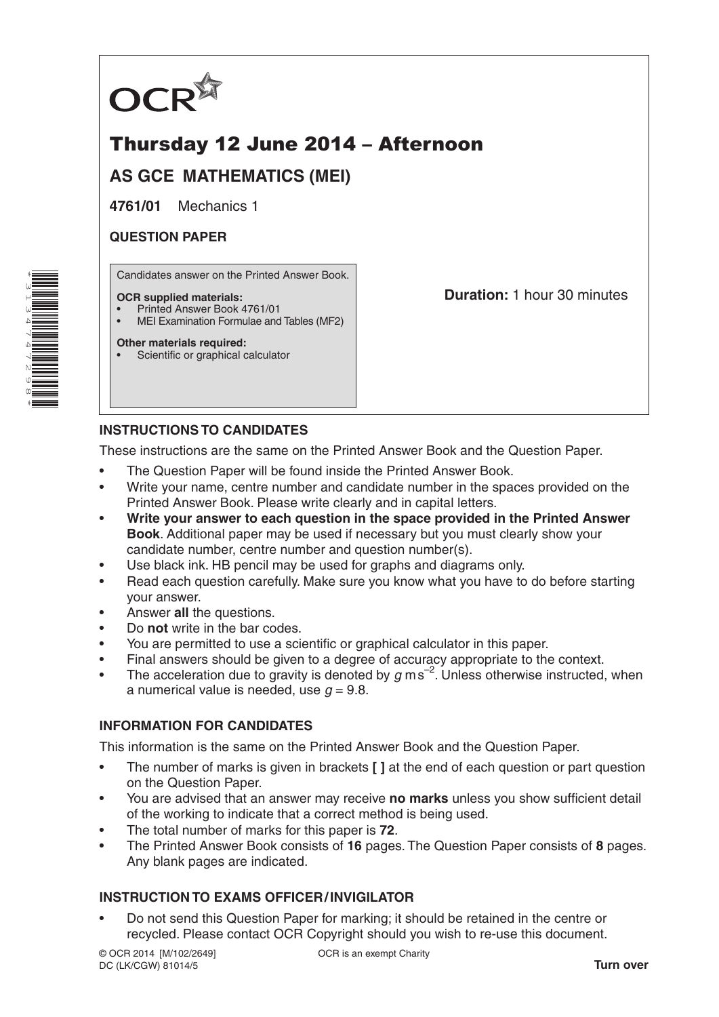

# Thursday 12 June 2014 – Afternoon

**AS GCE MATHEMATICS (MEI)**

**4761/01** Mechanics 1

## **QUESTION PAPER**

Candidates answer on the Printed Answer Book.

#### **OCR supplied materials:**

- Printed Answer Book 4761/01
- MEI Examination Formulae and Tables (MF2)

**Other materials required:**

Scientific or graphical calculator

**Duration:** 1 hour 30 minutes

## **INSTRUCTIONS TO CANDIDATES**

These instructions are the same on the Printed Answer Book and the Question Paper.

- The Question Paper will be found inside the Printed Answer Book.
- Write your name, centre number and candidate number in the spaces provided on the Printed Answer Book. Please write clearly and in capital letters.
- **Write your answer to each question in the space provided in the Printed Answer Book**. Additional paper may be used if necessary but you must clearly show your candidate number, centre number and question number(s).
- Use black ink. HB pencil may be used for graphs and diagrams only.
- Read each question carefully. Make sure you know what you have to do before starting your answer.
- Answer **all** the questions.
- Do **not** write in the bar codes.
- You are permitted to use a scientific or graphical calculator in this paper.
- Final answers should be given to a degree of accuracy appropriate to the context.
- The acceleration due to gravity is denoted by  $q \text{ ms}^{-2}$ . Unless otherwise instructed, when a numerical value is needed, use  $q = 9.8$ .

## **INFORMATION FOR CANDIDATES**

This information is the same on the Printed Answer Book and the Question Paper.

- The number of marks is given in brackets **[ ]** at the end of each question or part question on the Question Paper.
- You are advised that an answer may receive **no marks** unless you show sufficient detail of the working to indicate that a correct method is being used.
- The total number of marks for this paper is **72**.
- The Printed Answer Book consists of **16** pages. The Question Paper consists of **8** pages. Any blank pages are indicated.

## **INSTRUCTION TO EXAMS OFFICER/INVIGILATOR**

• Do not send this Question Paper for marking; it should be retained in the centre or recycled. Please contact OCR Copyright should you wish to re-use this document.

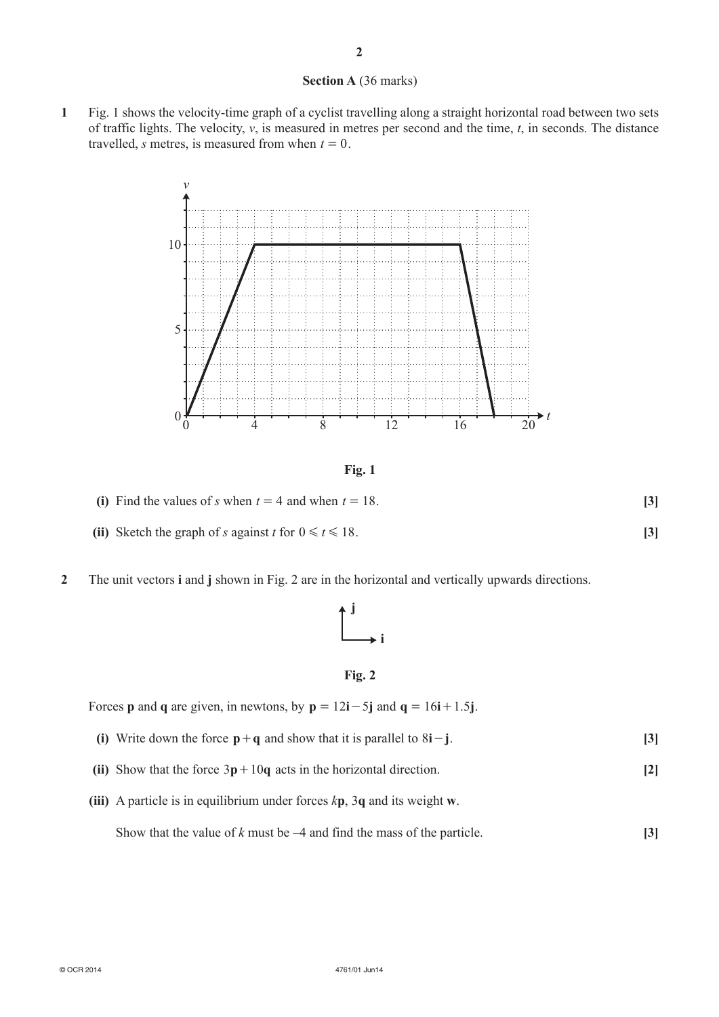### **Section A** (36 marks)

**1** Fig. 1 shows the velocity-time graph of a cyclist travelling along a straight horizontal road between two sets of traffic lights. The velocity, *v*, is measured in metres per second and the time, *t*, in seconds. The distance travelled, *s* metres, is measured from when  $t = 0$ .





| (i) Find the values of s when $t = 4$ and when $t = 18$ . |  |
|-----------------------------------------------------------|--|
|                                                           |  |

- (ii) Sketch the graph of *s* against *t* for  $0 \le t \le 18$ . [3]
- **2** The unit vectors **i** and **j** shown in Fig. 2 are in the horizontal and vertically upwards directions.



#### **Fig. 2**

| Forces <b>p</b> and <b>q</b> are given, in newtons, by $p = 12i - 5j$ and $q = 16i + 1.5j$ . |                   |
|----------------------------------------------------------------------------------------------|-------------------|
| (i) Write down the force $p+q$ and show that it is parallel to $8i-j$ .                      | $\lceil 3 \rceil$ |
| (ii) Show that the force $3p + 10q$ acts in the horizontal direction.                        | $\lceil 2 \rceil$ |
| (iii) A particle is in equilibrium under forces $k\mathbf{p}$ , 3q and its weight w.         |                   |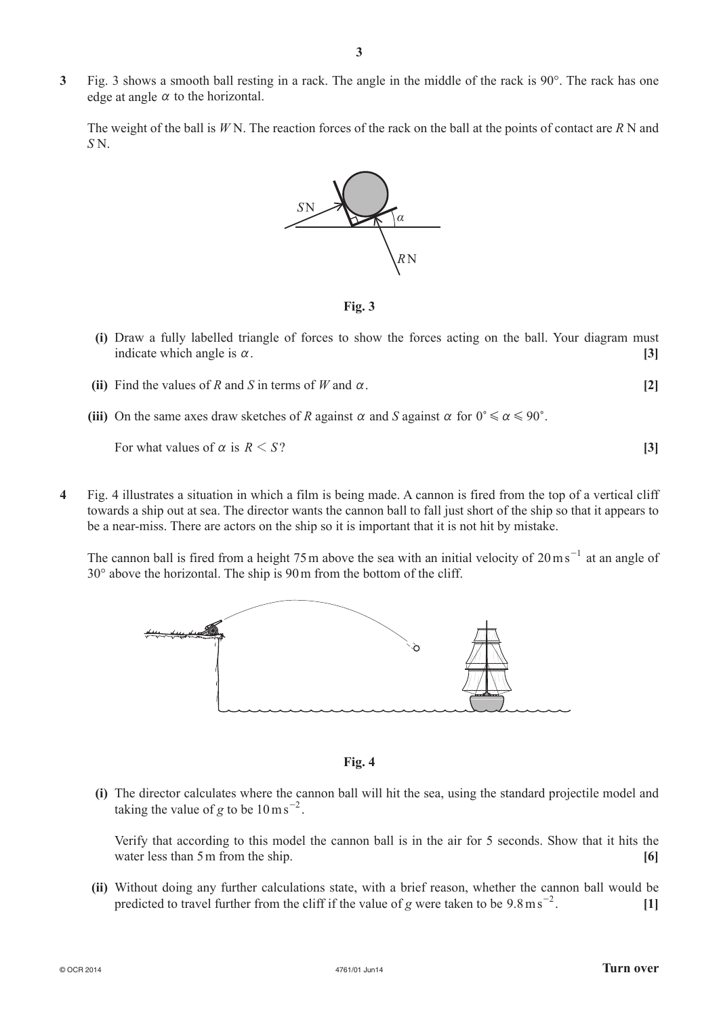**3** Fig. 3 shows a smooth ball resting in a rack. The angle in the middle of the rack is 90°. The rack has one edge at angle  $\alpha$  to the horizontal.

The weight of the ball is *W* N. The reaction forces of the rack on the ball at the points of contact are *R* N and *S* N.



**Fig. 3**

- **(i)** Draw a fully labelled triangle of forces to show the forces acting on the ball. Your diagram must indicate which angle is  $\alpha$ . **[3]**
- **(ii)** Find the values of *R* and *S* in terms of *W* and  $\alpha$ . [2]
- (iii) On the same axes draw sketches of *R* against  $\alpha$  and *S* against  $\alpha$  for  $0^{\circ} \le \alpha \le 90^{\circ}$ .

For what values of  $\alpha$  is  $R \leq S$ ? [3]

**4** Fig. 4 illustrates a situation in which a film is being made. A cannon is fired from the top of a vertical cliff towards a ship out at sea. The director wants the cannon ball to fall just short of the ship so that it appears to be a near-miss. There are actors on the ship so it is important that it is not hit by mistake.

The cannon ball is fired from a height 75 m above the sea with an initial velocity of  $20 \text{ m s}^{-1}$  at an angle of 30° above the horizontal. The ship is 90m from the bottom of the cliff.





**(i)** The director calculates where the cannon ball will hit the sea, using the standard projectile model and taking the value of *g* to be  $10 \text{ m s}^{-2}$ .

Verify that according to this model the cannon ball is in the air for 5 seconds. Show that it hits the water less than 5 m from the ship. **[6] [6] [6]** 

**(ii)** Without doing any further calculations state, with a brief reason, whether the cannon ball would be predicted to travel further from the cliff if the value of *g* were taken to be  $9.8 \text{ m s}^{-2}$ . **[1]**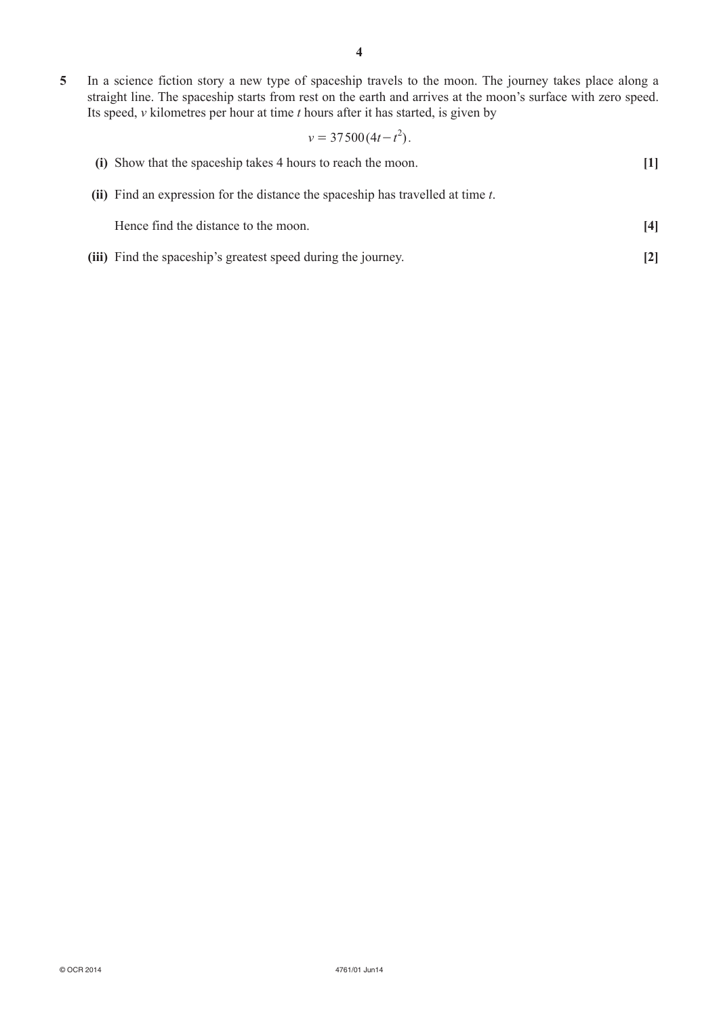**5** In a science fiction story a new type of spaceship travels to the moon. The journey takes place along a straight line. The spaceship starts from rest on the earth and arrives at the moon's surface with zero speed. Its speed, *v* kilometres per hour at time *t* hours after it has started, is given by

$$
v = 37500(4t - t^2).
$$

| (i) Show that the spaceship takes 4 hours to reach the moon.                    |  |
|---------------------------------------------------------------------------------|--|
| (ii) Find an expression for the distance the spaceship has travelled at time t. |  |

Hence find the distance to the moon. **[4]** 

**(iii)** Find the spaceship's greatest speed during the journey. **[2]**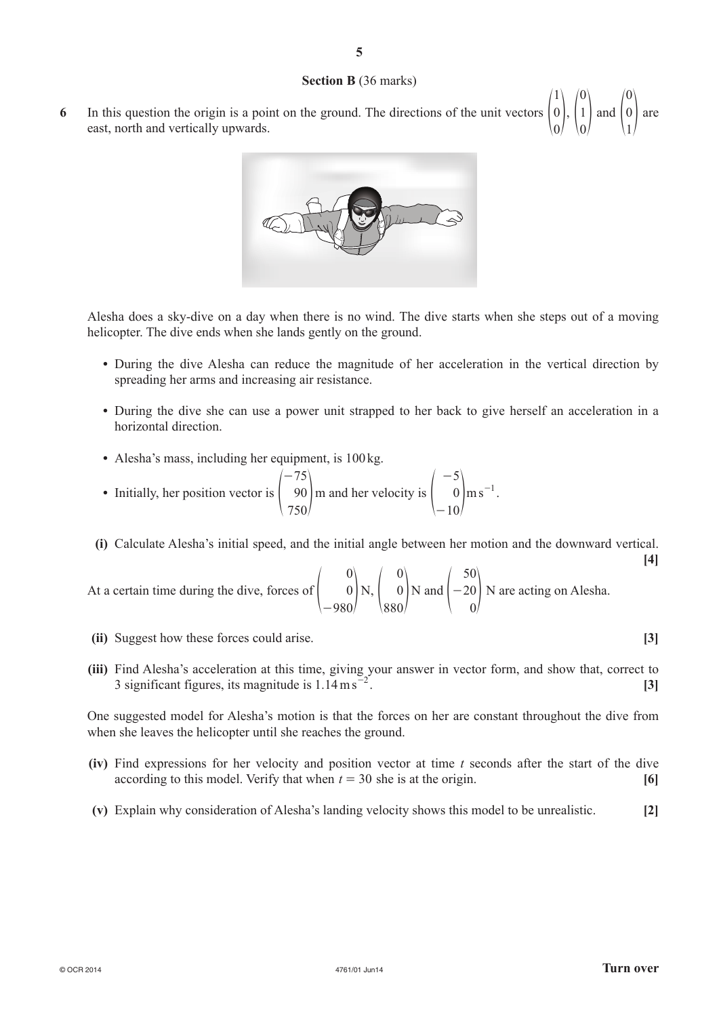#### **Section B** (36 marks)

**6** In this question the origin is a point on the ground. The directions of the unit vectors 1  $\overline{0}$  $\overline{0}$  $\vert 0 \vert,$  $\overline{0}$ 1  $\overline{0}$  $\left( 1 \right)$  and  $\overline{0}$  $\overline{0}$ 1  $\vert 0 \vert$  are east, north and vertically upwards.



Alesha does a sky-dive on a day when there is no wind. The dive starts when she steps out of a moving helicopter. The dive ends when she lands gently on the ground.

- **•** During the dive Alesha can reduce the magnitude of her acceleration in the vertical direction by spreading her arms and increasing air resistance.
- **•** During the dive she can use a power unit strapped to her back to give herself an acceleration in a horizontal direction.
- Alesha's mass, including her equipment, is  $100 \text{ kg}$ .
- **•** Initially, her position vector is 75 90 750 -  $\begin{bmatrix} 90 \end{bmatrix}$  m and her velocity is  $\begin{bmatrix} 0 \end{bmatrix}$  m s 5  $\overline{0}$ 10  $\begin{array}{c} -5 \\ 0 \end{array}$   $\begin{array}{c} -1 \end{array}$ -  $\Big| \ 0 \Big| \text{m s}^{-1}$ .

**(i)** Calculate Alesha's initial speed, and the initial angle between her motion and the downward vertical.

At a certain time during the dive, forces of  $\overline{0}$  $\begin{pmatrix} 0 \\ -980 \end{pmatrix}$ N,  $\overline{0}$  $\begin{pmatrix} 0 \\ 880 \end{pmatrix}$ N and 50 20  $\overline{0}$  $\left[ -20 \right]$  N are acting on Alesha.

- **(ii)** Suggest how these forces could arise. **[3]**
- **(iii)** Find Alesha's acceleration at this time, giving your answer in vector form, and show that, correct to 3 significant figures, its magnitude is  $1.14 \text{ ms}^{-2}$ . **[3]**

One suggested model for Alesha's motion is that the forces on her are constant throughout the dive from when she leaves the helicopter until she reaches the ground.

- **(iv)** Find expressions for her velocity and position vector at time *t* seconds after the start of the dive according to this model. Verify that when  $t = 30$  she is at the origin. **[6]**
- **(v)** Explain why consideration of Alesha's landing velocity shows this model to be unrealistic. **[2]**

**[4]**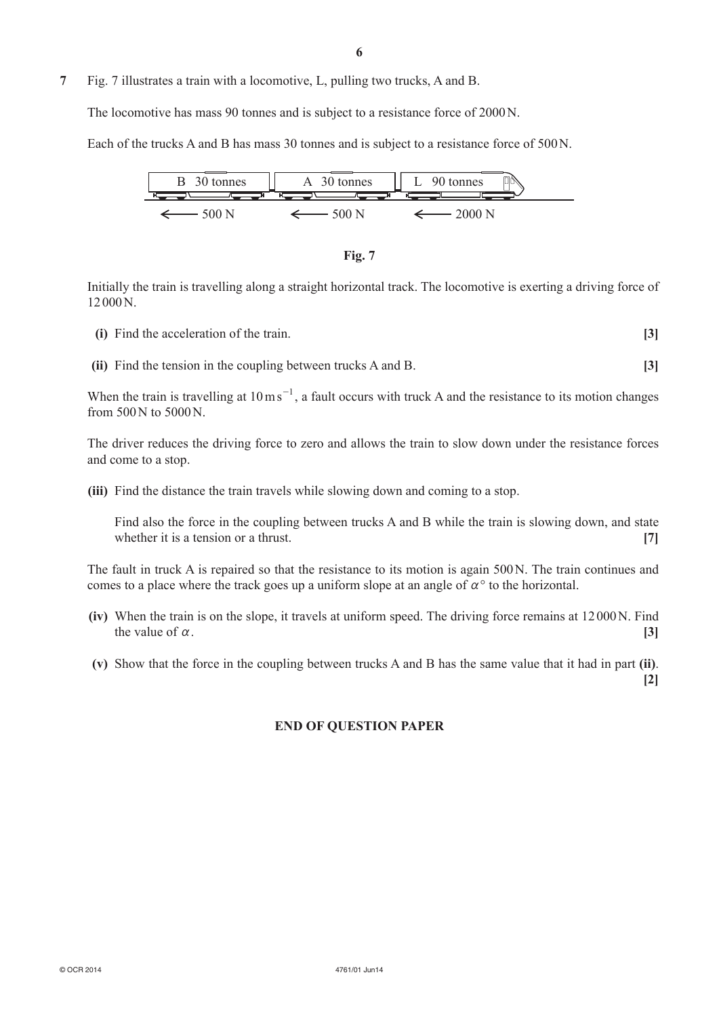**7** Fig. 7 illustrates a train with a locomotive, L, pulling two trucks, A and B.

The locomotive has mass 90 tonnes and is subject to a resistance force of 2000N.

Each of the trucks A and B has mass 30 tonnes and is subject to a resistance force of 500N.



**Fig. 7**

Initially the train is travelling along a straight horizontal track. The locomotive is exerting a driving force of 12000N.

| (i) Find the acceleration of the train. |  |
|-----------------------------------------|--|
|                                         |  |

**(ii)** Find the tension in the coupling between trucks A and B. **[3]**

When the train is travelling at  $10 \text{ m s}^{-1}$ , a fault occurs with truck A and the resistance to its motion changes from 500N to 5000N.

The driver reduces the driving force to zero and allows the train to slow down under the resistance forces and come to a stop.

**(iii)** Find the distance the train travels while slowing down and coming to a stop.

Find also the force in the coupling between trucks A and B while the train is slowing down, and state whether it is a tension or a thrust. **[7] [7]** 

The fault in truck A is repaired so that the resistance to its motion is again 500N. The train continues and comes to a place where the track goes up a uniform slope at an angle of  $\alpha^{\circ}$  to the horizontal.

- **(iv)** When the train is on the slope, it travels at uniform speed. The driving force remains at 12 000N. Find the value of  $\alpha$ . **[3]**
- **(v)** Show that the force in the coupling between trucks A and B has the same value that it had in part **(ii)**. **[2]**

#### **end oF queSTion pAper**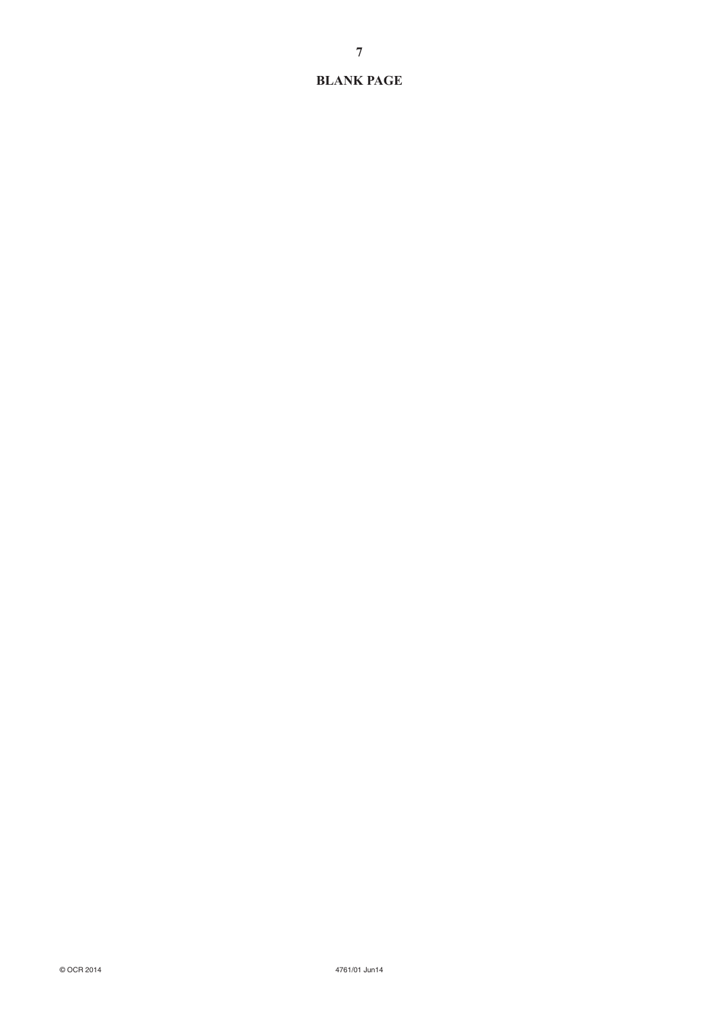## **BlAnk pAge**